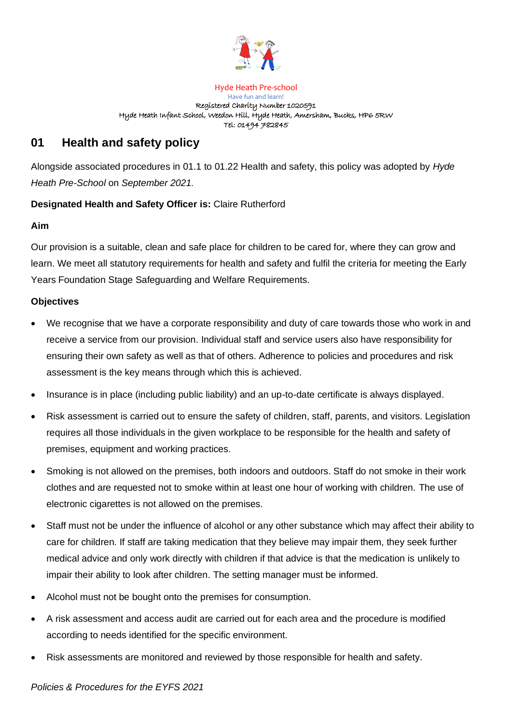

Hyde Heath Pre-school Have fun and learn! Registered Charity Number 1020591 Hyde Heath Infant School, Weedon Hill, Hyde Heath, Amersham, Bucks, HP6 5RW Tel: 01494 782845

# **01 Health and safety policy**

Alongside associated procedures in 01.1 to 01.22 Health and safety, this policy was adopted by *Hyde Heath Pre-School* on *September 2021.* 

## **Designated Health and Safety Officer is:** Claire Rutherford

### **Aim**

Our provision is a suitable, clean and safe place for children to be cared for, where they can grow and learn. We meet all statutory requirements for health and safety and fulfil the criteria for meeting the Early Years Foundation Stage Safeguarding and Welfare Requirements.

## **Objectives**

- We recognise that we have a corporate responsibility and duty of care towards those who work in and receive a service from our provision. Individual staff and service users also have responsibility for ensuring their own safety as well as that of others. Adherence to policies and procedures and risk assessment is the key means through which this is achieved.
- Insurance is in place (including public liability) and an up-to-date certificate is always displayed.
- Risk assessment is carried out to ensure the safety of children, staff, parents, and visitors. Legislation requires all those individuals in the given workplace to be responsible for the health and safety of premises, equipment and working practices.
- Smoking is not allowed on the premises, both indoors and outdoors. Staff do not smoke in their work clothes and are requested not to smoke within at least one hour of working with children. The use of electronic cigarettes is not allowed on the premises.
- Staff must not be under the influence of alcohol or any other substance which may affect their ability to care for children. If staff are taking medication that they believe may impair them, they seek further medical advice and only work directly with children if that advice is that the medication is unlikely to impair their ability to look after children. The setting manager must be informed.
- Alcohol must not be bought onto the premises for consumption.
- A risk assessment and access audit are carried out for each area and the procedure is modified according to needs identified for the specific environment.
- Risk assessments are monitored and reviewed by those responsible for health and safety.